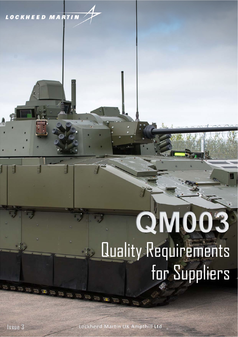## **LOCKHEED MARTIN**

and the contract of the contract of

# QM003 Quality Requirements for Suppliers

GAAA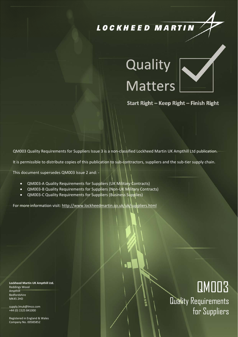## LOCKHEED MARTIN

## Quality **Matters**



Issue  $\overline{\phantom{a}}$ Page  $\boldsymbol{q}$ I.  $\overline{\phantom{a}}$ **2** of **18**

Start Right - Keep Right - Finish Right

QM003 Quality Requirements for Suppliers Issue 3 is a non‐classified Lockheed Martin UK Ampthill Ltd publication.

It is permissible to distribute copies of this publication to sub-contractors, suppliers and the sub-tier supply chain.

Uncontrolled if downloaded or printed

This document supersedes QM003 Issue 2 and: ‐

- **QM003-A Quality Requirements for Suppliers (UK Military Contracts)**
- **QM003-B Quality Requirements for Suppliers (Non-UK Military Contracts)**
- QM003-C Quality Requirements for Suppliers (Business Supplies)

For more information visit: http://www.lockheedmartin.co.uk/uk/suppliers.html

**Lockheed Martin UK Ampthill Ltd.** Reddings Wood Ampthill Bedfordshire MK45 2HD

supply.lmuk@lmco.com +44 (0) 1525 841000

Registered in England & Wales Company No. 00585852

## QM003

Quality Requirements for Suppliers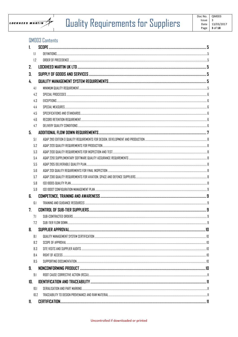

## Quality Requirements for Suppliers

## **QMDO3 Contents**

| 1.  |      |                    |   |
|-----|------|--------------------|---|
|     | 1.1  |                    |   |
|     | 1.7  |                    |   |
| 2.  |      |                    |   |
| 3.  |      |                    |   |
| 4.  |      |                    |   |
|     | 4.1  |                    |   |
|     | 4.2  |                    |   |
|     | 4.3  |                    |   |
|     | 4.4  |                    |   |
|     | 4.5  |                    |   |
|     | 4.E  |                    |   |
|     | 4.7  |                    |   |
| 5.  |      |                    |   |
|     | 5.1  |                    |   |
|     | 5.2  |                    |   |
|     | 5.3  |                    |   |
|     | 5.4  |                    |   |
|     | 5.5  |                    |   |
|     | 5.6  |                    |   |
|     | 5.7  |                    |   |
|     | 5.8  |                    |   |
|     | 5.9  |                    |   |
| 6.  |      |                    |   |
|     | 6.1  |                    |   |
| 7.  |      |                    |   |
|     | 7.1  |                    |   |
|     | 72   | SUB-TIFR FLOW DOWN | q |
| 8.  |      |                    |   |
|     | 8.1  |                    |   |
|     | 8.2  |                    |   |
|     | 8.3  |                    |   |
|     | 8.4  |                    |   |
|     | 8.5  |                    |   |
| 9.  |      |                    |   |
|     | 9.1  |                    |   |
| 10. |      |                    |   |
|     | 10.1 |                    |   |
|     | 10.2 |                    |   |
| 11. |      |                    |   |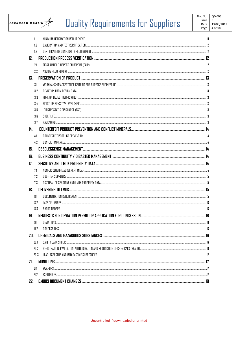

## Quality Requirements for Suppliers

| 11.1 |  |
|------|--|
| 11.7 |  |
| 11.3 |  |
| 12.  |  |
| 12.1 |  |
| 12.2 |  |
| 13.  |  |
| 13.1 |  |
| 13.2 |  |
| 13.3 |  |
| 13.4 |  |
| 13.5 |  |
| 13.6 |  |
| 13.7 |  |
| 14.  |  |
| 14.1 |  |
| 14.2 |  |
| 15.  |  |
| 16.  |  |
| 17.  |  |
| 17.1 |  |
| 17.2 |  |
| 17.3 |  |
| 18.  |  |
| 18.1 |  |
| 18.2 |  |
| 18.3 |  |
| 19.  |  |
| 19.1 |  |
| 19.2 |  |
| 20.  |  |
| 20.1 |  |
| 20.2 |  |
| 20.3 |  |
| 21.  |  |
| 21.1 |  |
| 21.2 |  |
| 22.  |  |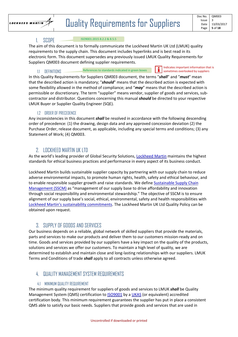

#### 1. SCOPE

#### ISO9001:2015 8.2.2 & 8.5.5

The aim of this document is to formally communicate the Lockheed Martin UK Ltd (LMUK) quality requirements to the supply chain. This document includes hyperlinks and is best read in its electronic form. This document supersedes any previously issued LMUK Quality Requirements for Suppliers QM003 document defining supplier requirements.

1.1 DEFINITIONS References to standards indicated in green boxes

Indicates important information that is sometimes overlooked by suppliers

In this Quality Requirements for Suppliers QM003 document, the terms "*shall*" and "*must*" mean that the described action is mandatory; "*should*" means that the described action is expected with some flexibility allowed in the method of compliance; and "*may*" means that the described action is permissible or discretionary. The term "supplier" means vendor, supplier of goods and services, sub‐ contractor and distributor. Questions concerning this manual *should* be directed to your respective LMUK Buyer or Supplier Quality Engineer (SQE).

#### 1.2 ORDER OF PRECEDENCE

Any inconsistencies in this document *shall* be resolved in accordance with the following descending order of precedence: (1) the drawing, design data and any approved concession deviation (2) the Purchase Order, release document, as applicable, including any special terms and conditions; (3) any Statement of Work; (4) QM003.

## 2. LOCKHEED MARTIN UK LTD

As the world's leading provider of Global Security Solutions, Lockheed Martin maintains the highest standards for ethical business practices and performance in every aspect of its business conduct.

Lockheed Martin builds sustainable supplier capacity by partnering with our supply chain to reduce adverse environmental impacts, to promote human rights, health, safety and ethical behaviour, and to enable responsible supplier growth and raise standards. We define Sustainable Supply Chain Management (SSCM) as "management of our supply base to drive affordability and innovation through social responsibility and environmental stewardship." The objective of SSCM is to ensure alignment of our supply base's social, ethical, environmental, safety and health responsibilities with Lockheed Martin's sustainability commitments. The Lockheed Martin UK Ltd Quality Policy can be obtained upon request.

### 3. SUPPLY OF GOODS AND SERVICES

Our business depends on a reliable, global network of skilled suppliers that provide the materials, parts and services to make our products and deliver them to our customers mission‐ready and on time. Goods and services provided by our suppliers have a key impact on the quality of the products, solutions and services we offer our customers. To maintain a high level of quality, we are determined to establish and maintain close and long‐lasting relationships with our suppliers. LMUK Terms and Conditions of trade *shall* apply to all contracts unless otherwise agreed.

## 4. QUALITY MANAGEMENT SYSTEM REQUIREMENTS

#### 4.1 MINIMUM QUALITY REQUIREMENT

The minimum quality requirement for suppliers of goods and services to LMUK *shall* be Quality Management System (QMS) certification to ISO9001 by a UKAS (or equivalent) accredited certification body. This minimum requirement guarantees the supplier has put in place a consistent QMS able to satisfy our basic needs. Suppliers that provide goods and services that are used in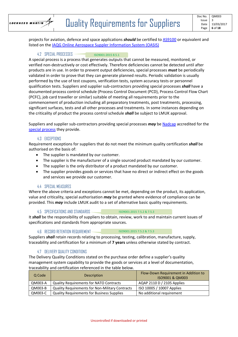

projects for aviation, defence and space applications *should* be certified to AS9100 or equivalent and listed on the IAQG Online Aerospace Suppler Information System (OASIS)

#### 4.2 SPECIAL PROCESSES ISO9001:2015 8.5.1

A special process is a process that generates outputs that cannot be measured, monitored, or verified non‐destructively or cost effectively. Therefore deficiencies cannot be detected until after products are in use. In order to prevent output deficiencies, special processes *must* be periodically validated in order to prove that they can generate planned results. Periodic validation is usually performed by the use of test coupons, verification tests, system accuracy tests or personnel qualification tests. Suppliers and supplier sub‐contractors providing special processes *shall* have a documented process control schedule (Process Control Document (PCD), Process Control Flow Chart (PCFC), job card traveller or similar) suitable of meeting all requirements prior to the commencement of production including all preparatory treatments, post treatments, processing, significant surfaces, tests and all other processes and treatments. In some instances depending on the criticality of product the process control schedule *shall* be subject to LMUK approval.

Suppliers and supplier sub‐contractors providing special processes *may* be Nadcap accredited for the special process they provide.

#### 4.3 EXCEPTIONS

Requirement exceptions for suppliers that do not meet the minimum quality certification *shall* be authorised on the basis of:

- The supplier is mandated by our customer.
- The supplier is the manufacturer of a single sourced product mandated by our customer.
- The supplier is the only distributor of a product mandated by our customer.
- The supplier provides goods or services that have no direct or indirect effect on the goods and services we provide our customer.

#### 4.4 SPECIAL MEASURES

Where the above criteria and exceptions cannot be met, depending on the product, its application, value and criticality, special authorisation *may* be granted where evidence of compliance can be provided. This *may* include LMUK audit to a set of alternative basic quality requirements.

#### 4.5 SPECIFICATIONS AND STANDARDS

ISO9001:2015 7.5.2 & 7.5.3

It *shall* be the responsibility of suppliers to obtain, review, work to and maintain current issues of specifications and standards from appropriate sources.

4.6 RECORD RETENTION REQUIREMENT ISO9001:2015 7.5.2 & 7.5.3

Suppliers *shall* retain records relating to processing, testing, calibration, manufacture, supply, traceability and certification for a minimum of **7 years** unless otherwise stated by contract.

#### 4.7 DELIVERY QUALITY CONDITIONS

The Delivery Quality Conditions stated on the purchase order define a supplier's quality management system capability to provide the goods or services at a level of documentation, traceability and certification referenced in the table below.

| Q Code  | <b>Description</b>                                     | Flow-Down Requirement in Addition to<br>ISO9001 & QM003 |
|---------|--------------------------------------------------------|---------------------------------------------------------|
| QM003-A | <b>Quality Requirements for NATO Contracts</b>         | AQAP 2110 D / 2105 Applies                              |
| QM003-B | <b>Quality Requirements for Non-Military Contracts</b> | ISO 10005 / 10007 Applies                               |
| QM003-C | <b>Quality Requirements for Business Supplies</b>      | No additional requirement                               |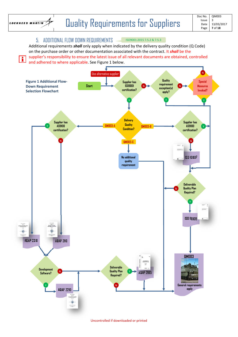

H

### 5. ADDITIONAL FLOW DOWN REQUIREMENTS

ISO9001:2015 7.5.2 & 7.5.3

Additional requirements *shall* only apply when indicated by the delivery quality condition (Q Code) on the purchase order or other documentation associated with the contract. It *shall* be the supplier's responsibility to ensure the latest issue of all relevant documents are obtained, controlled and adhered to where applicable. See Figure 1 below.

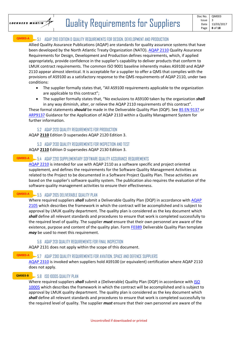

#### 5.1 AQAP 2110 EDITION D QUALITY REQUIREMENTS FOR DESIGN, DEVELOPMENT AND PRODUCTION **QM003‐A**

Allied Quality Assurance Publications (AQAP) are standards for quality assurance systems that have been developed by the North Atlantic Treaty Organization (NATO). AQAP 2110 Quality Assurance Requirements for Design, Development and Production defines requirements, which, if applied appropriately, provide confidence in the supplier's capability to deliver products that conform to LMUK contract requirements. The common ISO 9001 baseline inherently makes AS9100 and AQAP 2110 appear almost identical. It is acceptable for a supplier to offer a QMS that complies with the provisions of AS9100 as a satisfactory response to the QMS requirements of AQAP 2110, under two conditions:

- The supplier formally states that, "All AS9100 requirements applicable to the organization are applicable to this contract";
- The supplier formally states that, "No exclusions to AS9100 taken by the organization *shall* in any way diminish, alter, or relieve the AQAP 2110 requirements of this contract".

These formal statements *should* be made in the Deliverable Quality Plan (DQP). See BS EN 9137 or ARP9137 Guidance for the Application of AQAP 2110 within a Quality Management System for further information.

#### 5.2 AQAP 2120 QUALITY REQUIREMENTS FOR PRODUCTION

AQAP **2110** Edition D supersedes AQAP 2120 Edition 3.

#### 5.3 AQAP 2130 QUALITY REQUIREMENTS FOR INSPECTION AND TEST

AQAP **2110** Edition D supersedes AQAP 2130 Edition 3.

#### 5.4 AQAP 2210 SUPPLEMENTARY SOFTWARE QUALITY ASSURANCE REQUIREMENTS **QM003‐A**

AQAP 2210 is intended for use with AQAP 2110 as a software specific and project oriented supplement, and defines the requirements for the Software Quality Management Activities as related to the Project to be documented in a Software Project Quality Plan. These activities are based on the supplier's software quality system. The publication also requires the evaluation of the software quality management activities to ensure their effectiveness.

#### 5.5 AQAP 2105 DELIVERABLE QUALITY PLAN **QM003‐A**

Where required suppliers *shall* submit a Deliverable Quality Plan (DQP) in accordance with AQAP 2105 which describes the framework in which the contract will be accomplished and is subject to approval by LMUK quality department. The quality plan is considered as the key document which *shall* define all relevant standards and procedures to ensure that work is completed successfully to the required level of quality. The supplier *must* ensure that their own personnel are aware of the existence, purpose and content of the quality plan. Form F0389 Deliverable Quality Plan template *may* be used to meet this requirement.

#### 5.6 AQAP 2131 QUALITY REQUIREMENTS FOR FINAL INSPECTION

AQAP 2131 does not apply within the scope of this document.

#### 5.7 AQAP 2310 QUALITY REQUIREMENTS FOR AVIATION, SPACE AND DEFENCE SUPPLIERS **QM003‐A**

AQAP 2310 is invoked when suppliers hold AS9100 (or equivalent) certification where AQAP 2110 does not apply.

#### 5.8 ISO 10005 QUALITY PLAN **QM003‐B**

Where required suppliers *shall* submit a (Deliverable) Quality Plan (DQP) in accordance with ISO 10005 which describes the framework in which the contract will be accomplished and is subject to approval by LMUK quality department. The quality plan is considered as the key document which *shall* define all relevant standards and procedures to ensure that work is completed successfully to the required level of quality. The supplier *must* ensure that their own personnel are aware of the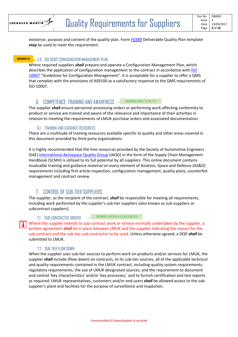

existence, purpose and content of the quality plan. Form F0389 Deliverable Quality Plan template *may* be used to meet this requirement.

### 5.9 ISO 10007 CONFIGURATION MANAGEMENT PLAN **QM003‐B**

Where required suppliers *shall* prepare and operate a Configuration Management Plan, which describes the application of configuration management to the contract in accordance with ISO 10007 "Guidelines for Configuration Management". It is acceptable for a supplier to offer a QMS that complies with the provisions of AS9100 as a satisfactory response to the QMS requirements of ISO 10007.

#### 6. COMPETENCE, TRAINING AND AWARENESS ISO9001:2015 7.2 & 7.3

The supplier *shall* ensure personnel processing orders or performing work affecting conformity to product or service are trained and aware of the relevance and importance of their activities in relation to meeting the requirements of LMUK purchase orders and associated documentation.

#### 6.1 TRAINING AND GUIDANCE RESOURCES

There are a multitude of training resources available specific to quality and other areas covered in this document provided by third party organizations.

It is highly recommended that the free resources provided by the Society of Automotive Engineers (SAE) International Aerospace Quality Group (IAQG) in the form of the Supply Chain Management Handbook (SCMH) is utilised to its full potential by all suppliers. This online document contains invaluable training and guidance material on every element of Aviation, Space and Defence (AS&D) requirements including first article inspection, configuration management, quality plans, counterfeit management and contract review.

## 7. CONTROL OF SUB-TIER SUPPLIERS

The supplier, as the recipient of the contract, *shall* be responsible for meeting all requirements, including work performed by the supplier's sub‐tier suppliers (also known as sub‐suppliers or subcontract suppliers).

#### 7.1 SUB-CONTRACTED ORDERS

ISO9001:2015 8.4.2, 8.4.3 & 8.6

Where the supplier intends to sub-contract work or service normally undertaken by the supplier, a written agreement *shall* be in place between LMUK and the supplier indicating the reason for the sub-contract and the sub-tier sub-contractor to be used. Unless otherwise agreed, a DQP *shall* be submitted to LMUK.

#### **7.2 SUB-TIFR FLOW DOWN**

When the supplier uses sub-tier sources to perform work on products and/or services for LMUK, the supplier **shall** include (flow-down) on contracts, to its sub-tier sources, all of the applicable technical and quality requirements contained in the LMUK contract, including quality system requirements, regulatory requirements, the use of LMUK designated sources, and the requirement to document and control 'key characteristics' and/or 'key processes,' and to furnish certification and test reports as required. LMUK representatives, customers and/or end users *shall* be allowed access to the sub‐ supplier's plant and facilities for the purpose of surveillance and inspection.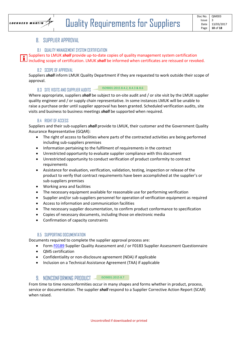

#### 8. SUPPLIER APPROVAL

#### 8.1 QUALITY MANAGEMENT SYSTEM CERTIFICATION

Suppliers to LMUK *shall* provide up‐to‐date copies of quality management system certification including scope of certification. LMUK *shall* be informed when certificates are reissued or revoked.

#### 8.2 SCOPE OF APPROVAL

Suppliers *shall* inform LMUK Quality Department if they are requested to work outside their scope of approval.

#### 8.3 SITE VISITS AND SUPPLIER AUDITS ISO9001:2015 8.4.2, 8.4.3 & 8.6

Where appropriate, suppliers *shall* be subject to on-site audit and / or site visit by the LMUK supplier quality engineer and / or supply chain representative. In some instances LMUK will be unable to raise a purchase order until supplier approval has been granted. Scheduled verification audits, site visits and business to business meetings *shall* be supported when required.

#### 8.4 RIGHT OF ACCESS

Suppliers and their sub‐suppliers *shall* provide to LMUK, their customer and the Government Quality Assurance Representative (GQAR):

- The right of access to facilities where parts of the contracted activities are being performed including sub‐suppliers premises
- Information pertaining to the fulfilment of requirements in the contract
- Unrestricted opportunity to evaluate supplier compliance with this document
- Unrestricted opportunity to conduct verification of product conformity to contract requirements
- Assistance for evaluation, verification, validation, testing, inspection or release of the product to verify that contract requirements have been accomplished at the supplier's or sub‐suppliers premises
- Working area and facilities
- The necessary equipment available for reasonable use for performing verification
- Supplier and/or sub-suppliers personnel for operation of verification equipment as required
- Access to information and communication facilities
- The necessary supplier documentation, to confirm product conformance to specification
- Copies of necessary documents, including those on electronic media
- Confirmation of capacity constraints

#### 8.5 SUPPORTING DOCUMENTATION

Documents required to complete the supplier approval process are:

- Form F0189 Supplier Quality Assessment and / or F0183 Supplier Assessment Questionnaire
- QMS certification
- Confidentiality or non‐disclosure agreement (NDA) if applicable
- Inclusion on a Technical Assistance Agreement (TAA) if applicable

#### 9. NONCONFORMING PRODUCT SO9001:2015 8.7

From time to time nonconformities occur in many shapes and forms whether in product, process, service or documentation. The supplier *shall* respond to a Supplier Corrective Action Report (SCAR) when raised.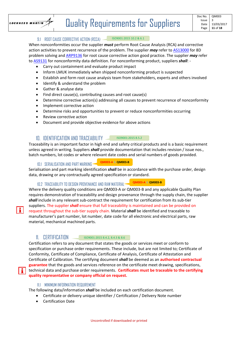

H

#### 9.1 ROOT CAUSE CORRECTIVE ACTION (RCCA) ISO9001:2015 10.2 & 6.1

When nonconformities occur the supplier *must* perform Root Cause Analysis (RCA) and corrective action activities to prevent recurrence of the problem. The supplier *may* refer to **AS13000** for 8D problem solving and ARP9136 for root cause corrective action good practice. The supplier *may* refer to AS9131 for nonconformity data definition. For nonconforming product, suppliers *shall*: ‐

- Carry out containment and evaluate product impact
- Inform LMUK immediately when shipped nonconforming product is suspected
- Establish and form root cause analysis team from stakeholders, experts and others involved
- Identify & understand the problem
- Gather & analyse data
- Find direct cause(s), contributing causes and root cause(s)
- Determine corrective action(s) addressing all causes to prevent recurrence of nonconformity
- Implement corrective action
- Determine risks and opportunities to prevent or reduce nonconformities occurring
- Review corrective action
- Document and provide objective evidence for above actions

### 10. IDENTIFICATION AND TRACEABILITY **SECULAR 10** ISO9001:2015 8.5.2

Traceability is an important factor in high end and safety critical products and is a basic requirement unless agreed in writing. Suppliers *shall* provide documentation that includes revision / issue nos., batch numbers, lot codes or where relevant date codes and serial numbers of goods provided.

#### 10.1 SERIALISATION AND PART MARKING **QM003‐A & QM003‐B**

Serialisation and part marking identification *shall* be in accordance with the purchase order, design data, drawing or any contractually agreed specification or standard.

10.2 TRACEABILITY TO DESIGN PROVENANCE AND RAW MATERIAL **QM003‐A & QM003‐B**

Where the delivery quality conditions are QM003‐A or QM003‐B and any applicable Quality Plan requires demonstration of traceability and design provenance through the supply chain, the supplier shall include in any relevant sub-contract the requirement for certification from its sub-tier suppliers. The supplier *shall* ensure that full traceability is maintained and can be provided on request throughout the sub-tier supply chain. Material **shall** be identified and traceable to

manufacturer's part number, lot number, date code for all electronic and electrical parts, raw material, mechanical machined parts.

#### 11. CERTIFICATION ISO9001:2015 8.4.2, 8.4.3 & 8.6

Certification refers to any document that states the goods or services meet or conform to specification or purchase order requirements. These include, but are not limited to; Certificate of Conformity, Certificate of Compliance, Certificate of Analysis, Certificate of Attestation and Certificate of Calibration. The certifying document *shall* be deemed as an **authorised contractual guarantee** that the goods and services reference on the certificate meet drawing, specifications, technical data and purchase order requirements. **Certificates must be traceable to the certifying quality representative or company official on request.**

#### 11.1 MINIMUM INFORMATION REQUIREMENT

The following data/information *shall* be included on each certification document.

- Certificate or delivery unique identifier / Certification / Delivery Note number
- Certification Date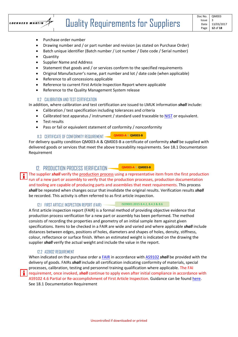

- Purchase order number
- Drawing number and / or part number and revision (as stated on Purchase Order)
- Batch unique identifier (Batch number / Lot number / Date code / Serial number)
- Quantity
- Supplier Name and Address
- Statement that goods and / or services conform to the specified requirements
- Original Manufacturer's name, part number and lot / date code (when applicable)
- Reference to all concessions applicable
- Reference to current First Article Inspection Report where applicable
- Reference to the Quality Management System release

#### 11.2 CALIBRATION AND TEST CERTIFICATION

In addition, where calibration and test certification are issued to LMUK information *shall* include:

- Calibration / test specification including tolerances and criteria
- Calibrated test apparatus / instrument / standard used traceable to NIST or equivalent.
- Test results
- Pass or fail or equivalent statement of conformity / nonconformity

#### 11.3 CERTIFICATE OF CONFORMITY REQUIREMENT **QM003‐A & QM003‐B**

For delivery quality condition QM003‐A & QM003‐B a certificate of conformity *shall* be supplied with delivered goods or services that meet the above traceability requirements. See 18.1 Documentation Requirement

#### 12. PRODUCTION PROCESS VERIFICATION **QM003‐A & QM003‐B**

The supplier *shall* verify the production process using a representative item from the first production run of a new part or assembly to verify that the production processes, production documentation and tooling are capable of producing parts and assemblies that meet requirements. This process *shall* be repeated when changes occur that invalidate the original results. Verification results *shall* be recorded. This activity is often referred to as first article inspection.

#### 12.1 FIRST ARTICLE INSPECTION REPORT (FAIR) ISO9001:2015 8.4.2, 8.4.3 & 8.6

A first article inspection report (FAIR) is a formal method of providing objective evidence that production process verification for a new part or assembly has been performed. The method consists of recording the properties and geometry of an initial sample item against given specifications. Items to be checked in a FAIR are wide and varied and where applicable *shall* include distances between edges, positions of holes, diameters and shapes of holes, density, stiffness, colour, reflectance or surface finish. When an estimated weight is indicated on the drawing the supplier *shall* verify the actual weight and include the value in the report.

#### 12.2 AS9102 REQUIREMENT

When indicated on the purchase order a FAIR in accordance with AS9102 *shall* be provided with the delivery of goods. FAIRs *shall* include all certification indicating conformity of materials, special processes, calibration, testing and personnel training qualification where applicable. The FAI requirement, once invoked, *shall* continue to apply even after initial compliance in accordance with AS9102 4.6 Partial or Re‐accomplishment of First Article Inspection. Guidance can be found here. See 18.1 Documentation Requirement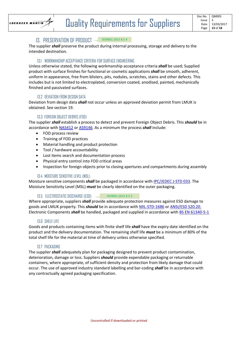

#### 13. PRESERVATION OF PRODUCT ISO9001:2015 8.5.4

The supplier *shall* preserve the product during internal processing, storage and delivery to the intended destination.

#### 13.1 WORKMANSHIP ACCEPTANCE CRITERIA FOR SURFACE ENGINEERING

Unless otherwise stated, the following workmanship acceptance criteria *shall* be used; Supplied product with surface finishes for functional or cosmetic applications *shall* be smooth, adherent, uniform in appearance, free from blisters, pits, nodules, scratches, stains and other defects. This includes but is not limited to electroplated, conversion coated, anodised, painted, mechanically finished and passivated surfaces.

#### 13.2 DEVIATION FROM DESIGN DATA

Deviation from design data *shall* not occur unless an approved deviation permit from LMUK is obtained. See section 19.

#### 13.3 FOREIGN OBJECT DEBRIS (FOD)

The supplier *shall* establish a process to detect and prevent Foreign Object Debris. This *should* be in accordance with NAS412 or AS9146. As a minimum the process *shall* include:

- FOD process review
- Training of FOD practices
- Material handling and product protection
- Tool / hardware accountability
- Lost items search and documentation process
- Physical entry control into FOD critical areas
- Inspection for foreign objects prior to closing apertures and compartments during assembly

#### 13.4 MOISTURE SENSITIVE LEVEL (MSL)

Moisture sensitive components *shall* be packaged in accordance with IPC/JEDEC J‐STD 033. The Moisture Sensitivity Level (MSL) *must* be clearly identified on the outer packaging.

#### 13.5 ELECTROSTATIC DISCHARGE (ESD) ISO9001:2015 8.5.3

Where appropriate, suppliers *shall* provide adequate protection measures against ESD damage to goods and LMUK property. This *should* be in accordance with MIL‐STD‐1686 or ANSI/ESD S20.20. Electronic Components *shall* be handled, packaged and supplied in accordance with BS EN 61340-5-1

#### 13.6 SHELF LIFE

Goods and products containing items with finite shelf life *shall* have the expiry date identified on the product and the delivery documentation. The remaining shelf life *must* be a minimum of 80% of the total shelf life for the material at time of delivery unless otherwise specified.

#### 13.7 PACKAGING

The supplier *shall* adequately plan for packaging designed to prevent product contamination, deterioration, damage or loss. Suppliers *should* provide expendable packaging or returnable containers, where appropriate, of sufficient density and protection from likely damage that could occur. The use of approved industry standard labelling and bar‐coding *shall* be in accordance with any contractually agreed packaging specification.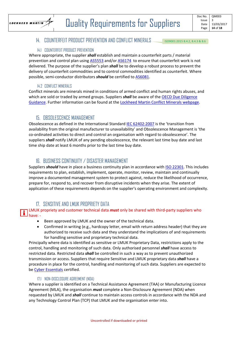

#### 14. COUNTERFEIT PRODUCT PREVENTION AND CONFLICT MINERALS ISO9001:2015 8.4.2, 8.4.3 & 8.6

#### 14.1 COUNTERFEIT PRODUCT PREVENTION

Where appropriate, the supplier *shall* establish and maintain a counterfeit parts / material prevention and control plan using AS5553 and/or AS6174 to ensure that counterfeit work is not delivered. The purpose of the supplier's plan *shall* be to develop a robust process to prevent the delivery of counterfeit commodities and to control commodities identified as counterfeit. Where possible, semi-conductor distributors **should** be certified to AS6081.

#### 14.2 CONFLICT MINERALS

Conflict minerals are minerals mined in conditions of armed conflict and human rights abuses, and which are sold or traded by armed groups. Suppliers *shall* be aware of the OECD Due Diligence Guidance. Further information can be found at the Lockheed Martin Conflict Minerals webpage.

## 15. OBSOLESCENCE MANAGEMENT

Obsolescence as defined in the International Standard IEC 62402:2007 is the 'transition from availability from the original manufacturer to unavailability' and Obsolescence Management is 'the co‐ordinated activities to direct and control an organisation with regard to obsolescence'. The suppliers *shall* notify LMUK of any pending obsolescence, the relevant last time buy date and last time ship date at least 6 months prior to the last time buy date.

## 16. BUSINESS CONTINUITY / DISASTER MANAGEMENT

Suppliers *should* have in place a business continuity plan in accordance with ISO 22301. This includes requirements to plan, establish, implement, operate, monitor, review, maintain and continually improve a documented management system to protect against, reduce the likelihood of occurrence, prepare for, respond to, and recover from disruptive incidents when they arise. The extent of application of these requirements depends on the supplier's operating environment and complexity.

## 17. SENSITIVE AND LMUK PROPRIETY DATA

#### LMUK propriety and customer technical data *must* only be shared with third‐party suppliers who have: ‐

- Been approved by LMUK and the owner of the technical data.
- Confirmed in writing (e.g., hardcopy letter, email with return address header) that they are authorized to receive such data and they understand the implications of and requirements for handling sensitive and proprietary technical data.

Principally where data is identified as sensitive or LMUK Proprietary Data, restrictions apply to the control, handling and monitoring of such data. Only authorised personnel *shall* have access to restricted data. Restricted data *shall* be controlled in such a way as to prevent unauthorized transmission or access. Suppliers that require Sensitive and LMUK proprietary data *shall* have a procedure in place for the control, handling and monitoring of such data. Suppliers are expected to be Cyber Essentials certified.

#### 17.1 NON-DISCLOSURE AGREEMENT (NDA)

Where a supplier is identified on a Technical Assistance Agreement (TAA) or Manufacturing Licence Agreement (MLA), the organisation *must* complete a Non‐Disclosure Agreement (NDA) when requested by LMUK and *shall* continue to maintain access controls in accordance with the NDA and any Technology Control Plan (TCP) that LMUK and the organisation enter into.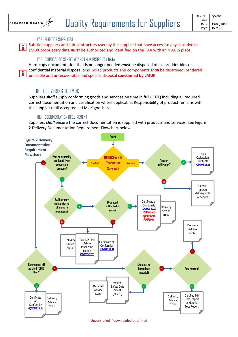

H.

#### 17.2 SUB-TIER SUPPLIERS

Sub-tier suppliers and sub-contractors used by the supplier that have access to any sensitive or LMUK proprietary data *must* be authorized and identified on the TAA with an NDA in place.

#### 17.3 DISPOSAL OF SENSITIVE AND LMUK PROPRIETY DATA

Hard‐copy documentation that is no longer needed *must* be disposed of in shredder bins or confidential material disposal bins. Scrap products and components *shall* be destroyed, rendered unusable and unrecoverable and specific disposal **sanctioned by LMUK**.

#### 18. DELIVERING TO LMUK

Suppliers *shall* supply conforming goods and services on time in full (OTIF) including all required correct documentation and certification where applicable. Responsibility of product remains with the supplier until accepted at LMUK goods in.

#### 18.1 DOCUMENTATION REQUIREMENT

Suppliers *shall* ensure the correct documentation is supplied with products and services. See Figure 2 Delivery Documentation Requirement Flowchart below.

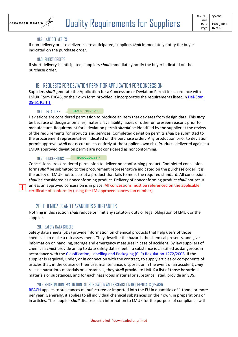

#### 18.2 LATE DELIVERIES

If non‐delivery or late deliveries are anticipated, suppliers *shall* immediately notify the buyer indicated on the purchase order.

#### 18.3 SHORT ORDERS

If short delivery is anticipated, suppliers *shall* immediately notify the buyer indicated on the purchase order.

### 19. REQUESTS FOR DEVIATION PERMIT OR APPLICATION FOR CONCESSION

Suppliers *shall* generate the Application for a Concession or Deviation Permit in accordance with LMUK Form F0045, or their own form provided it incorporates the requirements listed in Def‐Stan 05‐61 Part 1

#### 19.1 DEVIATIONS ISO9001:2015 8.2.3

Deviations are considered permission to produce an item that deviates from design data. This *may* be because of design anomalies, material availability issues or other unforeseen reasons prior to manufacture. Requirement for a deviation permit *should* be identified by the supplier at the review of the requirements for products and services. Completed deviation permits *shall* be submitted to the procurement representative indicated on the purchase order. Any production prior to deviation permit approval *shall* not occur unless entirely at the suppliers own risk. Products delivered against a LMUK approved deviation permit are not considered as nonconforming.

#### 19.2 CONCESSIONS ISO9001:2015 8.7

Concessions are considered permission to deliver nonconforming product. Completed concession forms *shall* be submitted to the procurement representative indicated on the purchase order. It is the policy of LMUK not to accept a product that fails to meet the required standard. All concessions *shall* be considered as nonconforming product. Delivery of nonconforming product *shall* not occur unless an approved concession is in place. All concessions must be referenced on the applicable certificate of conformity (using the LM approved concession number).

#### 20. CHEMICALS AND HAZARDOUS SUBSTANCES

Nothing in this section *shall* reduce or limit any statutory duty or legal obligation of LMUK or the supplier.

#### 20.1 SAFETY DATA SHEETS

ñ.

Safety data sheets (SDS) provide information on chemical products that help users of those chemicals to make a risk assessment. They describe the hazards the chemical presents, and give information on handling, storage and emergency measures in case of accident. By law suppliers of chemicals *must* provide an up to date safety data sheet if a substance is classified as dangerous in accordance with the Classification, Labelling and Packaging (CLP) Regulation 1272/2008. If the supplier is required, under, or in connection with the contract, to supply articles or components of articles that, in the course of their use, maintenance, disposal, or in the event of an accident, *may* release hazardous materials or substances, they *shall* provide to LMUK a list of those hazardous materials or substances, and for each hazardous material or substance listed, provide an SDS.

#### 20.2 REGISTRATION, EVALUATION, AUTHORISATION AND RESTRICTION OF CHEMICALS (REACH)

REACH applies to substances manufactured or imported into the EU in quantities of 1 tonne or more per year. Generally, it applies to all individual chemical substances on their own, in preparations or in articles. The supplier *shall* disclose such information to LMUK for the purpose of compliance with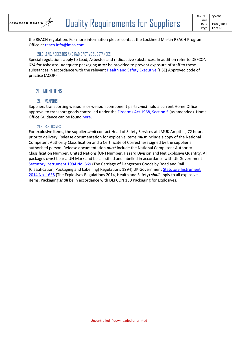

the REACH regulation. For more information please contact the Lockheed Martin REACH Program Office at reach.info@lmco.com

#### 20.3 LEAD, ASBESTOS AND RADIOACTIVE SUBSTANCES

Special regulations apply to Lead, Asbestos and radioactive substances. In addition refer to DEFCON 624 for Asbestos. Adequate packaging *must* be provided to prevent exposure of staff to these substances in accordance with the relevant Health and Safety Executive (HSE) Approved code of practise (ACOP)

## 21. MUNITIONS

#### 21.1 WEAPONS

Suppliers transporting weapons or weapon component parts *must* hold a current Home Office approval to transport goods controlled under the Firearms Act 1968, Section 5 (as amended). Home Office Guidance can be found here.

#### 21.2 EXPLOSIVES

For explosive items, the supplier *shall* contact Head of Safety Services at LMUK Ampthill, 72 hours prior to delivery. Release documentation for explosive items *must* include a copy of the National Competent Authority Classification and a Certificate of Correctness signed by the supplier's authorised person. Release documentation *must* include the National Competent Authority Classification Number, United Nations (UN) Number, Hazard Division and Net Explosive Quantity. All packages *must* bear a UN Mark and be classified and labelled in accordance with UK Government Statutory Instrument 1994 No. 669 (The Carriage of Dangerous Goods by Road and Rail [Classification, Packaging and Labelling] Regulations 1994) UK Government Statutory Instrument 2014 No. 1638 (The Explosives Regulations 2014, Health and Safety) *shall* apply to all explosive items. Packaging *shall* be in accordance with DEFCON 130 Packaging for Explosives.